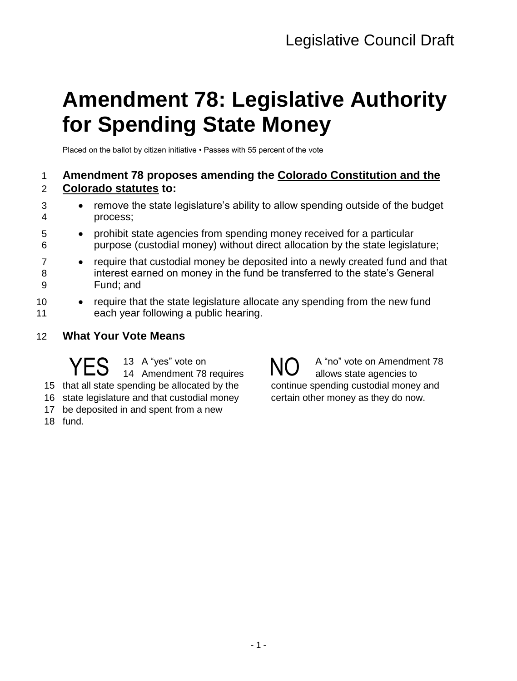# **Amendment 78: Legislative Authority for Spending State Money**

Placed on the ballot by citizen initiative • Passes with 55 percent of the vote

### 1 **Amendment 78 proposes amending the Colorado Constitution and the**  2 **Colorado statutes to:**

- 3 remove the state legislature's ability to allow spending outside of the budget 4 process;
- 5 prohibit state agencies from spending money received for a particular 6 purpose (custodial money) without direct allocation by the state legislature;
- 7 require that custodial money be deposited into a newly created fund and that 8 interest earned on money in the fund be transferred to the state's General 9 Fund; and
- 10 require that the state legislature allocate any spending from the new fund 11 each year following a public hearing.
- 12 **What Your Vote Means**

 A "yes" vote on YES 13 A "yes" vote on NO that all state spending be allocated by the state legislature and that custodial money

- 17 be deposited in and spent from a new
- 18 fund.

A "no" vote on Amendment 78 allows state agencies to continue spending custodial money and certain other money as they do now.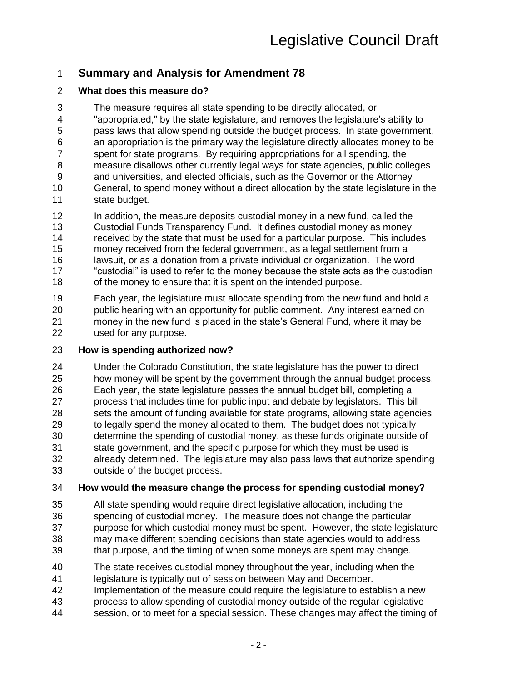## **Summary and Analysis for Amendment 78**

### **What does this measure do?**

The measure requires all state spending to be directly allocated, or

"appropriated," by the state legislature, and removes the legislature's ability to

- pass laws that allow spending outside the budget process. In state government,
- an appropriation is the primary way the legislature directly allocates money to be spent for state programs. By requiring appropriations for all spending, the
- measure disallows other currently legal ways for state agencies, public colleges
- and universities, and elected officials, such as the Governor or the Attorney
- General, to spend money without a direct allocation by the state legislature in the state budget.
- In addition, the measure deposits custodial money in a new fund, called the
- Custodial Funds Transparency Fund. It defines custodial money as money received by the state that must be used for a particular purpose. This includes
- money received from the federal government, as a legal settlement from a
- lawsuit, or as a donation from a private individual or organization. The word
- "custodial" is used to refer to the money because the state acts as the custodian of the money to ensure that it is spent on the intended purpose.

 Each year, the legislature must allocate spending from the new fund and hold a public hearing with an opportunity for public comment. Any interest earned on money in the new fund is placed in the state's General Fund, where it may be used for any purpose.

### **How is spending authorized now?**

 Under the Colorado Constitution, the state legislature has the power to direct how money will be spent by the government through the annual budget process. Each year, the state legislature passes the annual budget bill, completing a process that includes time for public input and debate by legislators. This bill sets the amount of funding available for state programs, allowing state agencies to legally spend the money allocated to them. The budget does not typically determine the spending of custodial money, as these funds originate outside of state government, and the specific purpose for which they must be used is already determined. The legislature may also pass laws that authorize spending outside of the budget process.

### **How would the measure change the process for spending custodial money?**

- All state spending would require direct legislative allocation, including the spending of custodial money. The measure does not change the particular purpose for which custodial money must be spent. However, the state legislature may make different spending decisions than state agencies would to address
- that purpose, and the timing of when some moneys are spent may change.
- The state receives custodial money throughout the year, including when the
- legislature is typically out of session between May and December.
- Implementation of the measure could require the legislature to establish a new
- process to allow spending of custodial money outside of the regular legislative
- session, or to meet for a special session. These changes may affect the timing of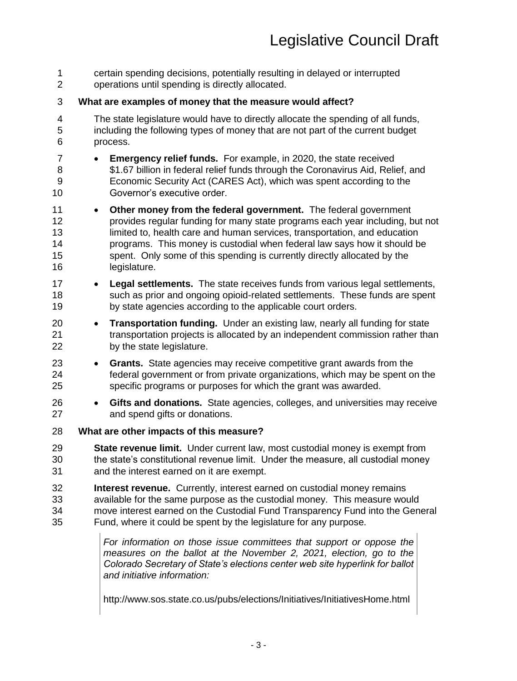certain spending decisions, potentially resulting in delayed or interrupted operations until spending is directly allocated. **What are examples of money that the measure would affect?** The state legislature would have to directly allocate the spending of all funds, including the following types of money that are not part of the current budget process. **Emergency relief funds.** For example, in 2020, the state received \$1.67 billion in federal relief funds through the Coronavirus Aid, Relief, and Economic Security Act (CARES Act), which was spent according to the Governor's executive order. **Other money from the federal government.** The federal government provides regular funding for many state programs each year including, but not 13 limited to, health care and human services, transportation, and education programs. This money is custodial when federal law says how it should be spent. Only some of this spending is currently directly allocated by the legislature. **Legal settlements.** The state receives funds from various legal settlements, such as prior and ongoing opioid-related settlements. These funds are spent by state agencies according to the applicable court orders. **Transportation funding.** Under an existing law, nearly all funding for state transportation projects is allocated by an independent commission rather than by the state legislature. **Grants.** State agencies may receive competitive grant awards from the federal government or from private organizations, which may be spent on the specific programs or purposes for which the grant was awarded. **Gifts and donations.** State agencies, colleges, and universities may receive and spend gifts or donations. **What are other impacts of this measure? State revenue limit.** Under current law, most custodial money is exempt from the state's constitutional revenue limit. Under the measure, all custodial money and the interest earned on it are exempt. **Interest revenue.** Currently, interest earned on custodial money remains available for the same purpose as the custodial money. This measure would move interest earned on the Custodial Fund Transparency Fund into the General Fund, where it could be spent by the legislature for any purpose. *For information on those issue committees that support or oppose the measures on the ballot at the November 2, 2021, election, go to the Colorado Secretary of State's elections center web site hyperlink for ballot and initiative information:*

http://www.sos.state.co.us/pubs/elections/Initiatives/InitiativesHome.html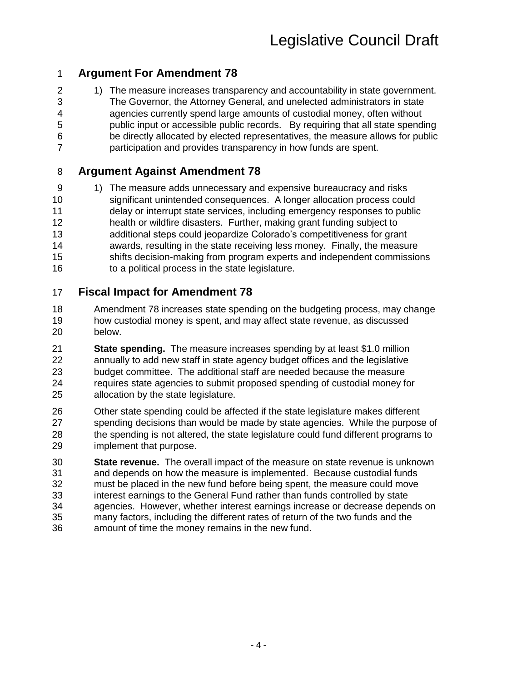## **Argument For Amendment 78**

2 1) The measure increases transparency and accountability in state government. The Governor, the Attorney General, and unelected administrators in state agencies currently spend large amounts of custodial money, often without public input or accessible public records. By requiring that all state spending be directly allocated by elected representatives, the measure allows for public participation and provides transparency in how funds are spent.

### **Argument Against Amendment 78**

9 1) The measure adds unnecessary and expensive bureaucracy and risks significant unintended consequences. A longer allocation process could delay or interrupt state services, including emergency responses to public health or wildfire disasters. Further, making grant funding subject to additional steps could jeopardize Colorado's competitiveness for grant awards, resulting in the state receiving less money. Finally, the measure shifts decision-making from program experts and independent commissions to a political process in the state legislature.

### **Fiscal Impact for Amendment 78**

- Amendment 78 increases state spending on the budgeting process, may change how custodial money is spent, and may affect state revenue, as discussed below.
- **State spending.** The measure increases spending by at least \$1.0 million annually to add new staff in state agency budget offices and the legislative budget committee. The additional staff are needed because the measure requires state agencies to submit proposed spending of custodial money for allocation by the state legislature.
- Other state spending could be affected if the state legislature makes different spending decisions than would be made by state agencies. While the purpose of the spending is not altered, the state legislature could fund different programs to implement that purpose.
- **State revenue.** The overall impact of the measure on state revenue is unknown and depends on how the measure is implemented. Because custodial funds must be placed in the new fund before being spent, the measure could move interest earnings to the General Fund rather than funds controlled by state agencies. However, whether interest earnings increase or decrease depends on many factors, including the different rates of return of the two funds and the amount of time the money remains in the new fund.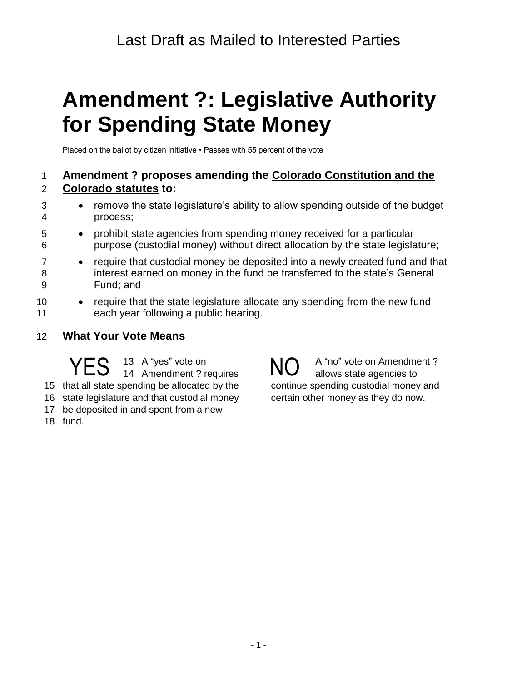# **Amendment ?: Legislative Authority for Spending State Money**

Placed on the ballot by citizen initiative • Passes with 55 percent of the vote

### 1 **Amendment ? proposes amending the Colorado Constitution and the**  2 **Colorado statutes to:**

- 3 remove the state legislature's ability to allow spending outside of the budget 4 process;
- 5 prohibit state agencies from spending money received for a particular 6 purpose (custodial money) without direct allocation by the state legislature;
- 7 require that custodial money be deposited into a newly created fund and that 8 interest earned on money in the fund be transferred to the state's General 9 Fund; and
- 10 require that the state legislature allocate any spending from the new fund 11 each year following a public hearing.
- 12 **What Your Vote Means**

 A "yes" vote on YES 13 A "yes" vote on NO that all state spending be allocated by the state legislature and that custodial money

- 17 be deposited in and spent from a new
- 18 fund.

A "no" vote on Amendment ? allows state agencies to continue spending custodial money and certain other money as they do now.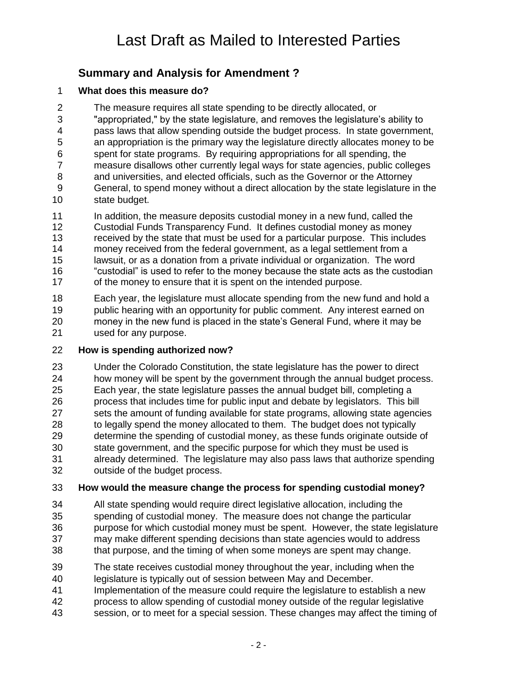## **Summary and Analysis for Amendment ?**

### **What does this measure do?**

The measure requires all state spending to be directly allocated, or

 "appropriated," by the state legislature, and removes the legislature's ability to pass laws that allow spending outside the budget process. In state government, an appropriation is the primary way the legislature directly allocates money to be

spent for state programs. By requiring appropriations for all spending, the

 measure disallows other currently legal ways for state agencies, public colleges and universities, and elected officials, such as the Governor or the Attorney

 General, to spend money without a direct allocation by the state legislature in the state budget.

In addition, the measure deposits custodial money in a new fund, called the

Custodial Funds Transparency Fund. It defines custodial money as money

- received by the state that must be used for a particular purpose. This includes
- money received from the federal government, as a legal settlement from a lawsuit, or as a donation from a private individual or organization. The word
- "custodial" is used to refer to the money because the state acts as the custodian 17 of the money to ensure that it is spent on the intended purpose.

 Each year, the legislature must allocate spending from the new fund and hold a public hearing with an opportunity for public comment. Any interest earned on money in the new fund is placed in the state's General Fund, where it may be used for any purpose.

### **How is spending authorized now?**

Under the Colorado Constitution, the state legislature has the power to direct

 how money will be spent by the government through the annual budget process. Each year, the state legislature passes the annual budget bill, completing a process that includes time for public input and debate by legislators. This bill

sets the amount of funding available for state programs, allowing state agencies

- to legally spend the money allocated to them. The budget does not typically determine the spending of custodial money, as these funds originate outside of state government, and the specific purpose for which they must be used is
- already determined. The legislature may also pass laws that authorize spending outside of the budget process.

### **How would the measure change the process for spending custodial money?**

- All state spending would require direct legislative allocation, including the spending of custodial money. The measure does not change the particular purpose for which custodial money must be spent. However, the state legislature may make different spending decisions than state agencies would to address
- that purpose, and the timing of when some moneys are spent may change.
- The state receives custodial money throughout the year, including when the
- legislature is typically out of session between May and December.
- Implementation of the measure could require the legislature to establish a new
- process to allow spending of custodial money outside of the regular legislative
- session, or to meet for a special session. These changes may affect the timing of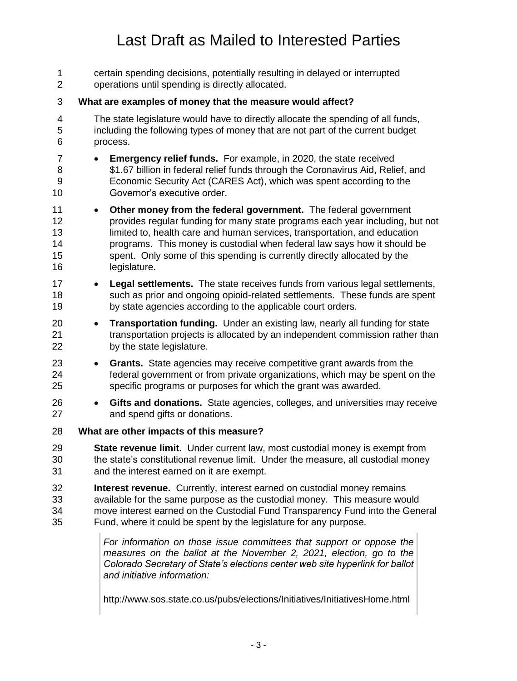# Last Draft as Mailed to Interested Parties

| 1<br>$\overline{2}$              | certain spending decisions, potentially resulting in delayed or interrupted<br>operations until spending is directly allocated.                                                                                                                                                                                                                                                                       |  |  |  |  |
|----------------------------------|-------------------------------------------------------------------------------------------------------------------------------------------------------------------------------------------------------------------------------------------------------------------------------------------------------------------------------------------------------------------------------------------------------|--|--|--|--|
| 3                                | What are examples of money that the measure would affect?                                                                                                                                                                                                                                                                                                                                             |  |  |  |  |
| 4<br>5<br>6                      | The state legislature would have to directly allocate the spending of all funds,<br>including the following types of money that are not part of the current budget<br>process.                                                                                                                                                                                                                        |  |  |  |  |
| $\overline{7}$<br>8<br>9<br>10   | <b>Emergency relief funds.</b> For example, in 2020, the state received<br>\$1.67 billion in federal relief funds through the Coronavirus Aid, Relief, and<br>Economic Security Act (CARES Act), which was spent according to the<br>Governor's executive order.                                                                                                                                      |  |  |  |  |
| 11<br>12<br>13<br>14<br>15<br>16 | Other money from the federal government. The federal government<br>provides regular funding for many state programs each year including, but not<br>limited to, health care and human services, transportation, and education<br>programs. This money is custodial when federal law says how it should be<br>spent. Only some of this spending is currently directly allocated by the<br>legislature. |  |  |  |  |
| 17<br>18<br>19                   | Legal settlements. The state receives funds from various legal settlements,<br>$\bullet$<br>such as prior and ongoing opioid-related settlements. These funds are spent<br>by state agencies according to the applicable court orders.                                                                                                                                                                |  |  |  |  |
| 20<br>21<br>22                   | Transportation funding. Under an existing law, nearly all funding for state<br>$\bullet$<br>transportation projects is allocated by an independent commission rather than<br>by the state legislature.                                                                                                                                                                                                |  |  |  |  |
| 23<br>24<br>25                   | Grants. State agencies may receive competitive grant awards from the<br>$\bullet$<br>federal government or from private organizations, which may be spent on the<br>specific programs or purposes for which the grant was awarded.                                                                                                                                                                    |  |  |  |  |
| 26<br>27                         | Gifts and donations. State agencies, colleges, and universities may receive<br>$\bullet$<br>and spend gifts or donations.                                                                                                                                                                                                                                                                             |  |  |  |  |
| 28                               | What are other impacts of this measure?                                                                                                                                                                                                                                                                                                                                                               |  |  |  |  |
| 29<br>30<br>31                   | State revenue limit. Under current law, most custodial money is exempt from<br>the state's constitutional revenue limit. Under the measure, all custodial money<br>and the interest earned on it are exempt.                                                                                                                                                                                          |  |  |  |  |
| 32<br>33<br>34<br>35             | <b>Interest revenue.</b> Currently, interest earned on custodial money remains<br>available for the same purpose as the custodial money. This measure would<br>move interest earned on the Custodial Fund Transparency Fund into the General<br>Fund, where it could be spent by the legislature for any purpose.                                                                                     |  |  |  |  |
|                                  | For information on those issue committees that support or oppose the<br>measures on the ballot at the November 2, 2021, election, go to the<br>Colorado Secretary of State's elections center web site hyperlink for ballot<br>and initiative information:                                                                                                                                            |  |  |  |  |

http://www.sos.state.co.us/pubs/elections/Initiatives/InitiativesHome.html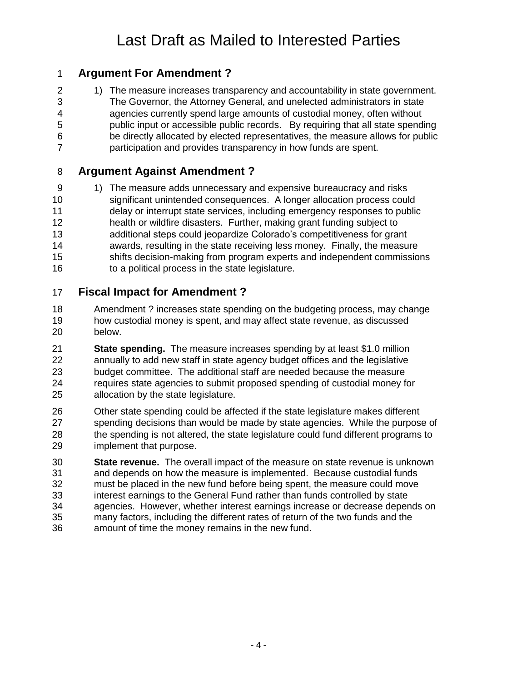# Last Draft as Mailed to Interested Parties

### **Argument For Amendment ?**

2 1) The measure increases transparency and accountability in state government. The Governor, the Attorney General, and unelected administrators in state agencies currently spend large amounts of custodial money, often without public input or accessible public records. By requiring that all state spending be directly allocated by elected representatives, the measure allows for public participation and provides transparency in how funds are spent.

### **Argument Against Amendment ?**

9 1) The measure adds unnecessary and expensive bureaucracy and risks significant unintended consequences. A longer allocation process could delay or interrupt state services, including emergency responses to public health or wildfire disasters. Further, making grant funding subject to additional steps could jeopardize Colorado's competitiveness for grant awards, resulting in the state receiving less money. Finally, the measure shifts decision-making from program experts and independent commissions to a political process in the state legislature.

### **Fiscal Impact for Amendment ?**

- Amendment ? increases state spending on the budgeting process, may change how custodial money is spent, and may affect state revenue, as discussed below.
- **State spending.** The measure increases spending by at least \$1.0 million annually to add new staff in state agency budget offices and the legislative budget committee. The additional staff are needed because the measure requires state agencies to submit proposed spending of custodial money for allocation by the state legislature.
- Other state spending could be affected if the state legislature makes different spending decisions than would be made by state agencies. While the purpose of the spending is not altered, the state legislature could fund different programs to implement that purpose.
- **State revenue.** The overall impact of the measure on state revenue is unknown and depends on how the measure is implemented. Because custodial funds must be placed in the new fund before being spent, the measure could move interest earnings to the General Fund rather than funds controlled by state agencies. However, whether interest earnings increase or decrease depends on many factors, including the different rates of return of the two funds and the amount of time the money remains in the new fund.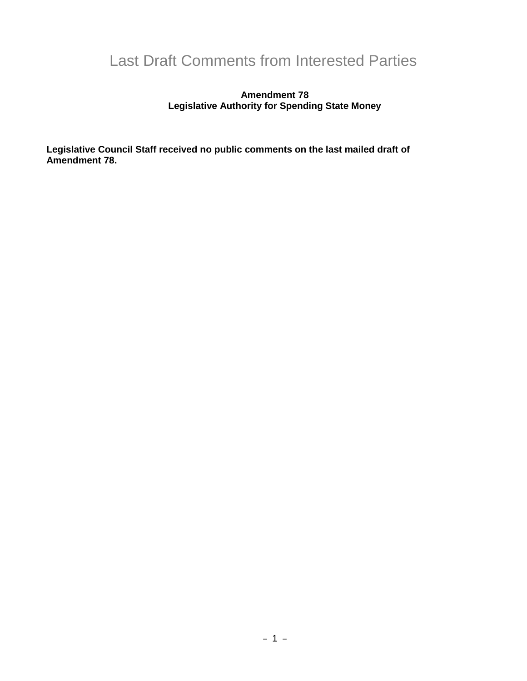# Last Draft Comments from Interested Parties

#### **Amendment 78 Legislative Authority for Spending State Money**

**Legislative Council Staff received no public comments on the last mailed draft of Amendment 78.**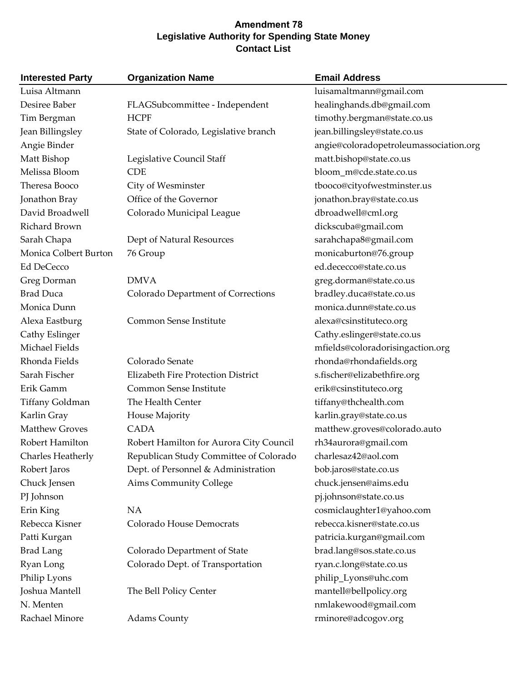### **Amendment 78 Legislative Authority for Spending State Money Contact List**

| <b>Interested Party</b> | <b>Organization Name</b>                | <b>Email Address</b>                   |
|-------------------------|-----------------------------------------|----------------------------------------|
| Luisa Altmann           |                                         | luisamaltmann@gmail.com                |
| Desiree Baber           | FLAGSubcommittee - Independent          | healinghands.db@gmail.com              |
| Tim Bergman             | <b>HCPF</b>                             | timothy.bergman@state.co.us            |
| Jean Billingsley        | State of Colorado, Legislative branch   | jean.billingsley@state.co.us           |
| Angie Binder            |                                         | angie@coloradopetroleumassociation.org |
| Matt Bishop             | Legislative Council Staff               | matt.bishop@state.co.us                |
| Melissa Bloom           | <b>CDE</b>                              | bloom_m@cde.state.co.us                |
| Theresa Booco           | City of Wesminster                      | tbooco@cityofwestminster.us            |
| Jonathon Bray           | Office of the Governor                  | jonathon.bray@state.co.us              |
| David Broadwell         | Colorado Municipal League               | dbroadwell@cml.org                     |
| Richard Brown           |                                         | dickscuba@gmail.com                    |
| Sarah Chapa             | Dept of Natural Resources               | sarahchapa8@gmail.com                  |
| Monica Colbert Burton   | 76 Group                                | monicaburton@76.group                  |
| <b>Ed DeCecco</b>       |                                         | ed.dececco@state.co.us                 |
| Greg Dorman             | <b>DMVA</b>                             | greg.dorman@state.co.us                |
| <b>Brad Duca</b>        | Colorado Department of Corrections      | bradley.duca@state.co.us               |
| Monica Dunn             |                                         | monica.dunn@state.co.us                |
| Alexa Eastburg          | Common Sense Institute                  | alexa@csinstituteco.org                |
| Cathy Eslinger          |                                         | Cathy.eslinger@state.co.us             |
| Michael Fields          |                                         | mfields@coloradorisingaction.org       |
| Rhonda Fields           | Colorado Senate                         | rhonda@rhondafields.org                |
| Sarah Fischer           | Elizabeth Fire Protection District      | s.fischer@elizabethfire.org            |
| Erik Gamm               | Common Sense Institute                  | erik@csinstituteco.org                 |
| Tiffany Goldman         | The Health Center                       | tiffany@thchealth.com                  |
| Karlin Gray             | House Majority                          | karlin.gray@state.co.us                |
| <b>Matthew Groves</b>   | <b>CADA</b>                             | matthew.groves@colorado.auto           |
| Robert Hamilton         | Robert Hamilton for Aurora City Council | rh34aurora@gmail.com                   |
| Charles Heatherly       | Republican Study Committee of Colorado  | charlesaz42@aol.com                    |
| Robert Jaros            | Dept. of Personnel & Administration     | bob.jaros@state.co.us                  |
| Chuck Jensen            | <b>Aims Community College</b>           | chuck.jensen@aims.edu                  |
| PJ Johnson              |                                         | pj.johnson@state.co.us                 |
| Erin King               | <b>NA</b>                               | cosmiclaughter1@yahoo.com              |
| Rebecca Kisner          | Colorado House Democrats                | rebecca.kisner@state.co.us             |
| Patti Kurgan            |                                         | patricia.kurgan@gmail.com              |
| <b>Brad Lang</b>        | Colorado Department of State            | brad.lang@sos.state.co.us              |
| Ryan Long               | Colorado Dept. of Transportation        | ryan.c.long@state.co.us                |
| Philip Lyons            |                                         | philip_Lyons@uhc.com                   |
| Joshua Mantell          | The Bell Policy Center                  | mantell@bellpolicy.org                 |
| N. Menten               |                                         | nmlakewood@gmail.com                   |
| Rachael Minore          | <b>Adams County</b>                     | rminore@adcogov.org                    |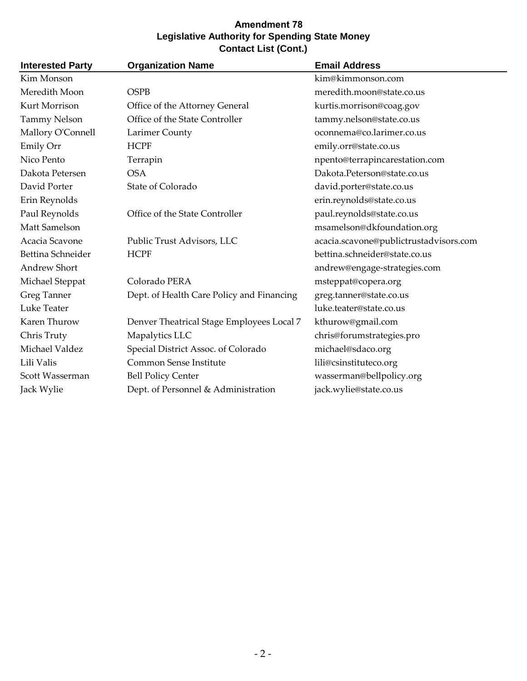### **Amendment 78 Legislative Authority for Spending State Money Contact List (Cont.)**

| <b>Interested Party</b> | <b>Organization Name</b>                  | <b>Email Address</b>                   |
|-------------------------|-------------------------------------------|----------------------------------------|
| Kim Monson              |                                           | kim@kimmonson.com                      |
| Meredith Moon           | <b>OSPB</b>                               | meredith.moon@state.co.us              |
| Kurt Morrison           | Office of the Attorney General            | kurtis.morrison@coag.gov               |
| <b>Tammy Nelson</b>     | Office of the State Controller            | tammy.nelson@state.co.us               |
| Mallory O'Connell       | Larimer County                            | oconnema@co.larimer.co.us              |
| Emily Orr               | <b>HCPF</b>                               | emily.orr@state.co.us                  |
| Nico Pento              | Terrapin                                  | npento@terrapincarestation.com         |
| Dakota Petersen         | <b>OSA</b>                                | Dakota.Peterson@state.co.us            |
| David Porter            | State of Colorado                         | david.porter@state.co.us               |
| Erin Reynolds           |                                           | erin.reynolds@state.co.us              |
| Paul Reynolds           | Office of the State Controller            | paul.reynolds@state.co.us              |
| Matt Samelson           |                                           | msamelson@dkfoundation.org             |
| Acacia Scavone          | Public Trust Advisors, LLC                | acacia.scavone@publictrustadvisors.com |
| Bettina Schneider       | <b>HCPF</b>                               | bettina.schneider@state.co.us          |
| <b>Andrew Short</b>     |                                           | andrew@engage-strategies.com           |
| Michael Steppat         | Colorado PERA                             | msteppat@copera.org                    |
| Greg Tanner             | Dept. of Health Care Policy and Financing | greg.tanner@state.co.us                |
| Luke Teater             |                                           | luke.teater@state.co.us                |
| Karen Thurow            | Denver Theatrical Stage Employees Local 7 | kthurow@gmail.com                      |
| Chris Truty             | Mapalytics LLC                            | chris@forumstrategies.pro              |
| Michael Valdez          | Special District Assoc. of Colorado       | michael@sdaco.org                      |
| Lili Valis              | Common Sense Institute                    | lili@csinstituteco.org                 |
| Scott Wasserman         | <b>Bell Policy Center</b>                 | wasserman@bellpolicy.org               |
| Jack Wylie              | Dept. of Personnel & Administration       | jack.wylie@state.co.us                 |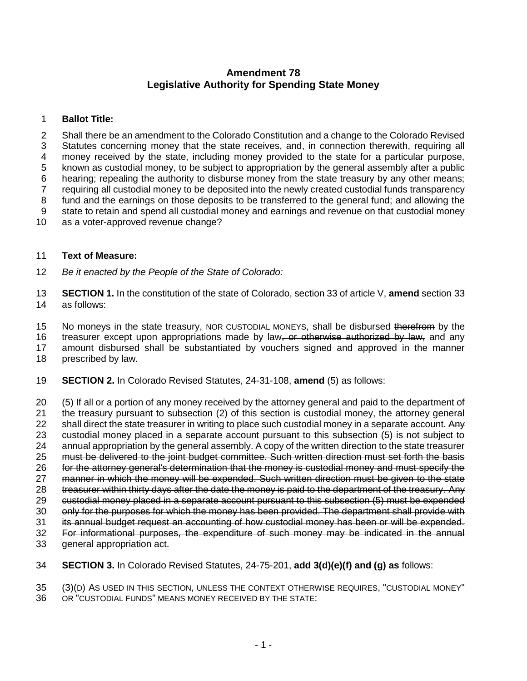### **Amendment 78 Legislative Authority for Spending State Money**

### **Ballot Title:**

 Shall there be an amendment to the Colorado Constitution and a change to the Colorado Revised Statutes concerning money that the state receives, and, in connection therewith, requiring all money received by the state, including money provided to the state for a particular purpose, known as custodial money, to be subject to appropriation by the general assembly after a public hearing; repealing the authority to disburse money from the state treasury by any other means; requiring all custodial money to be deposited into the newly created custodial funds transparency fund and the earnings on those deposits to be transferred to the general fund; and allowing the state to retain and spend all custodial money and earnings and revenue on that custodial money as a voter-approved revenue change?

#### **Text of Measure:**

- *Be it enacted by the People of the State of Colorado:*
- **SECTION 1.** In the constitution of the state of Colorado, section 33 of article V, **amend** section 33 as follows:

15 No moneys in the state treasury, NOR CUSTODIAL MONEYS, shall be disbursed therefrom by the

16 treasurer except upon appropriations made by law, or otherwise authorized by law, and any amount disbursed shall be substantiated by vouchers signed and approved in the manner

- prescribed by law.
- **SECTION 2.** In Colorado Revised Statutes, 24-31-108, **amend** (5) as follows:

 (5) If all or a portion of any money received by the attorney general and paid to the department of the treasury pursuant to subsection (2) of this section is custodial money, the attorney general 22 shall direct the state treasurer in writing to place such custodial money in a separate account. Any custodial money placed in a separate account pursuant to this subsection (5) is not subject to annual appropriation by the general assembly. A copy of the written direction to the state treasurer must be delivered to the joint budget committee. Such written direction must set forth the basis for the attorney general's determination that the money is custodial money and must specify the manner in which the money will be expended. Such written direction must be given to the state treasurer within thirty days after the date the money is paid to the department of the treasury. Any custodial money placed in a separate account pursuant to this subsection (5) must be expended 30 only for the purposes for which the money has been provided. The department shall provide with its annual budget request an accounting of how custodial money has been or will be expended. For informational purposes, the expenditure of such money may be indicated in the annual general appropriation act.

**SECTION 3.** In Colorado Revised Statutes, 24-75-201, **add 3(d)(e)(f) and (g) as** follows:

(3)(D) AS USED IN THIS SECTION, UNLESS THE CONTEXT OTHERWISE REQUIRES, "CUSTODIAL MONEY"

OR "CUSTODIAL FUNDS" MEANS MONEY RECEIVED BY THE STATE: